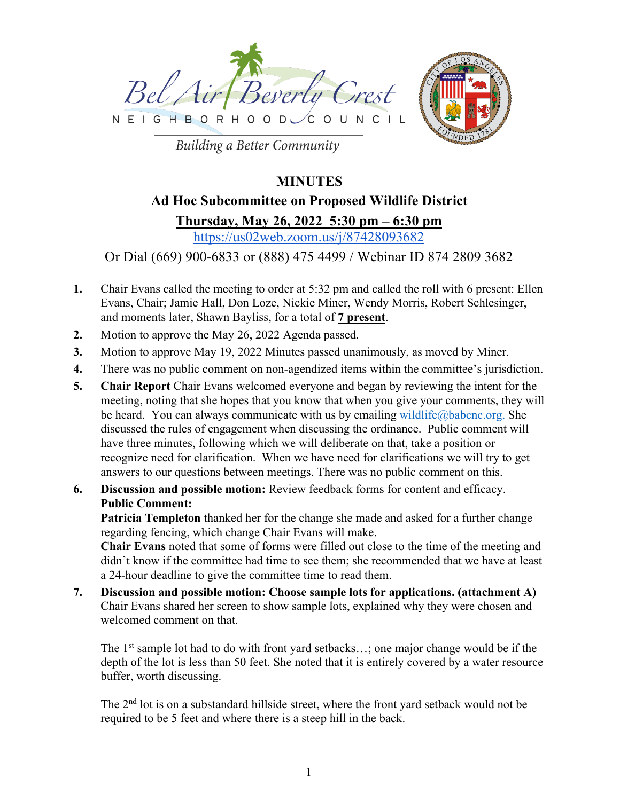



**Building a Better Community** 

## **MINUTES**

# **Ad Hoc Subcommittee on Proposed Wildlife District Thursday, May 26, 2022 5:30 pm – 6:30 pm**

https://us02web.zoom.us/j/87428093682

### Or Dial (669) 900-6833 or (888) 475 4499 / Webinar ID 874 2809 3682

- **1.** Chair Evans called the meeting to order at 5:32 pm and called the roll with 6 present: Ellen Evans, Chair; Jamie Hall, Don Loze, Nickie Miner, Wendy Morris, Robert Schlesinger, and moments later, Shawn Bayliss, for a total of **7 present**.
- **2.** Motion to approve the May 26, 2022 Agenda passed.
- **3.** Motion to approve May 19, 2022 Minutes passed unanimously, as moved by Miner.
- **4.** There was no public comment on non-agendized items within the committee's jurisdiction.
- **5. Chair Report** Chair Evans welcomed everyone and began by reviewing the intent for the meeting, noting that she hopes that you know that when you give your comments, they will be heard. You can always communicate with us by emailing wildlife@babcnc.org. She discussed the rules of engagement when discussing the ordinance. Public comment will have three minutes, following which we will deliberate on that, take a position or recognize need for clarification. When we have need for clarifications we will try to get answers to our questions between meetings. There was no public comment on this.
- **6. Discussion and possible motion:** Review feedback forms for content and efficacy. **Public Comment:**

**Patricia Templeton** thanked her for the change she made and asked for a further change regarding fencing, which change Chair Evans will make.

**Chair Evans** noted that some of forms were filled out close to the time of the meeting and didn't know if the committee had time to see them; she recommended that we have at least a 24-hour deadline to give the committee time to read them.

**7. Discussion and possible motion: Choose sample lots for applications. (attachment A)** Chair Evans shared her screen to show sample lots, explained why they were chosen and welcomed comment on that.

The 1<sup>st</sup> sample lot had to do with front yard setbacks...; one major change would be if the depth of the lot is less than 50 feet. She noted that it is entirely covered by a water resource buffer, worth discussing.

The 2nd lot is on a substandard hillside street, where the front yard setback would not be required to be 5 feet and where there is a steep hill in the back.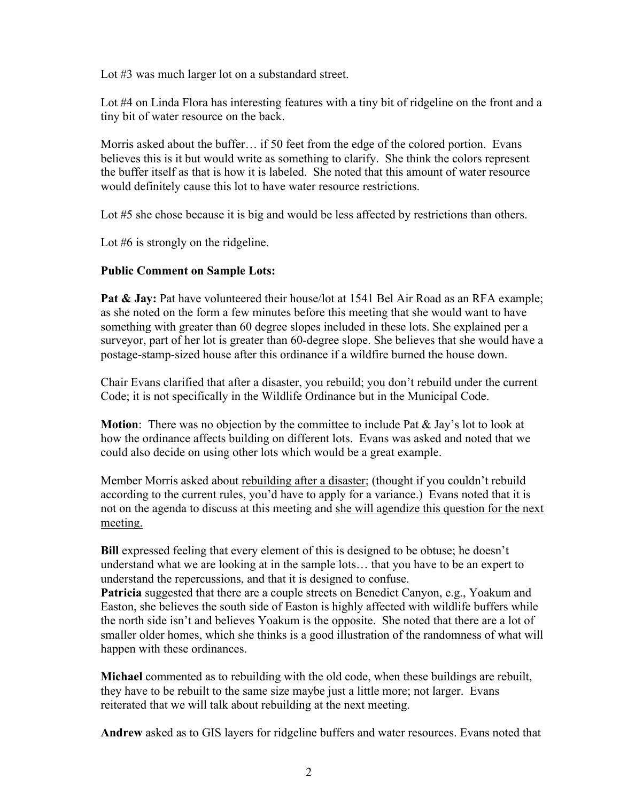Lot #3 was much larger lot on a substandard street.

Lot #4 on Linda Flora has interesting features with a tiny bit of ridgeline on the front and a tiny bit of water resource on the back.

Morris asked about the buffer… if 50 feet from the edge of the colored portion. Evans believes this is it but would write as something to clarify. She think the colors represent the buffer itself as that is how it is labeled. She noted that this amount of water resource would definitely cause this lot to have water resource restrictions.

Lot #5 she chose because it is big and would be less affected by restrictions than others.

Lot #6 is strongly on the ridgeline.

#### **Public Comment on Sample Lots:**

**Pat & Jay:** Pat have volunteered their house/lot at 1541 Bel Air Road as an RFA example; as she noted on the form a few minutes before this meeting that she would want to have something with greater than 60 degree slopes included in these lots. She explained per a surveyor, part of her lot is greater than 60-degree slope. She believes that she would have a postage-stamp-sized house after this ordinance if a wildfire burned the house down.

Chair Evans clarified that after a disaster, you rebuild; you don't rebuild under the current Code; it is not specifically in the Wildlife Ordinance but in the Municipal Code.

**Motion**: There was no objection by the committee to include Pat & Jay's lot to look at how the ordinance affects building on different lots. Evans was asked and noted that we could also decide on using other lots which would be a great example.

Member Morris asked about rebuilding after a disaster; (thought if you couldn't rebuild according to the current rules, you'd have to apply for a variance.) Evans noted that it is not on the agenda to discuss at this meeting and she will agendize this question for the next meeting.

**Bill** expressed feeling that every element of this is designed to be obtuse; he doesn't understand what we are looking at in the sample lots… that you have to be an expert to understand the repercussions, and that it is designed to confuse.

**Patricia** suggested that there are a couple streets on Benedict Canyon, e.g., Yoakum and Easton, she believes the south side of Easton is highly affected with wildlife buffers while the north side isn't and believes Yoakum is the opposite. She noted that there are a lot of smaller older homes, which she thinks is a good illustration of the randomness of what will happen with these ordinances.

**Michael** commented as to rebuilding with the old code, when these buildings are rebuilt, they have to be rebuilt to the same size maybe just a little more; not larger. Evans reiterated that we will talk about rebuilding at the next meeting.

**Andrew** asked as to GIS layers for ridgeline buffers and water resources. Evans noted that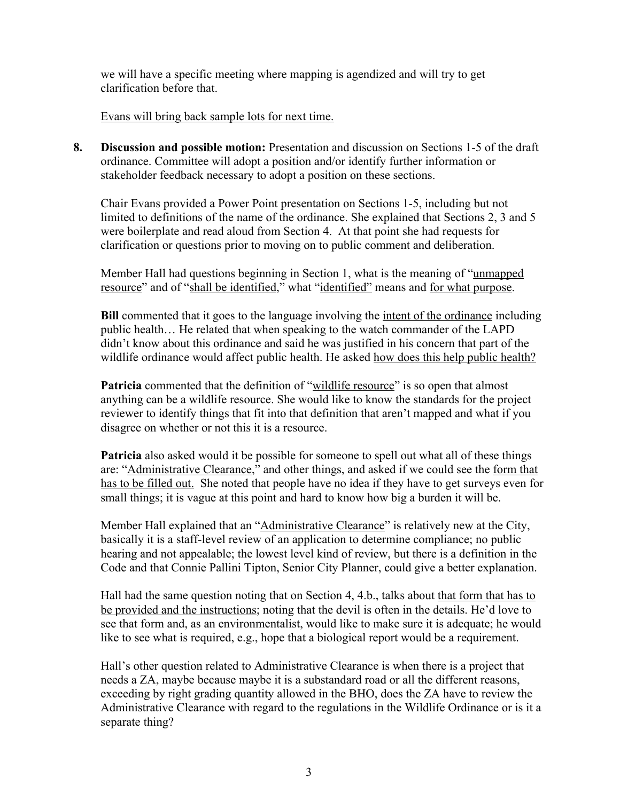we will have a specific meeting where mapping is agendized and will try to get clarification before that.

Evans will bring back sample lots for next time.

**8. Discussion and possible motion:** Presentation and discussion on Sections 1-5 of the draft ordinance. Committee will adopt a position and/or identify further information or stakeholder feedback necessary to adopt a position on these sections.

Chair Evans provided a Power Point presentation on Sections 1-5, including but not limited to definitions of the name of the ordinance. She explained that Sections 2, 3 and 5 were boilerplate and read aloud from Section 4. At that point she had requests for clarification or questions prior to moving on to public comment and deliberation.

Member Hall had questions beginning in Section 1, what is the meaning of "unmapped resource" and of "shall be identified," what "identified" means and for what purpose.

**Bill** commented that it goes to the language involving the <u>intent of the ordinance</u> including public health… He related that when speaking to the watch commander of the LAPD didn't know about this ordinance and said he was justified in his concern that part of the wildlife ordinance would affect public health. He asked how does this help public health?

**Patricia** commented that the definition of "wildlife resource" is so open that almost anything can be a wildlife resource. She would like to know the standards for the project reviewer to identify things that fit into that definition that aren't mapped and what if you disagree on whether or not this it is a resource.

**Patricia** also asked would it be possible for someone to spell out what all of these things are: "Administrative Clearance," and other things, and asked if we could see the form that has to be filled out. She noted that people have no idea if they have to get surveys even for small things; it is vague at this point and hard to know how big a burden it will be.

Member Hall explained that an "Administrative Clearance" is relatively new at the City, basically it is a staff-level review of an application to determine compliance; no public hearing and not appealable; the lowest level kind of review, but there is a definition in the Code and that Connie Pallini Tipton, Senior City Planner, could give a better explanation.

Hall had the same question noting that on Section 4, 4.b., talks about that form that has to be provided and the instructions; noting that the devil is often in the details. He'd love to see that form and, as an environmentalist, would like to make sure it is adequate; he would like to see what is required, e.g., hope that a biological report would be a requirement.

Hall's other question related to Administrative Clearance is when there is a project that needs a ZA, maybe because maybe it is a substandard road or all the different reasons, exceeding by right grading quantity allowed in the BHO, does the ZA have to review the Administrative Clearance with regard to the regulations in the Wildlife Ordinance or is it a separate thing?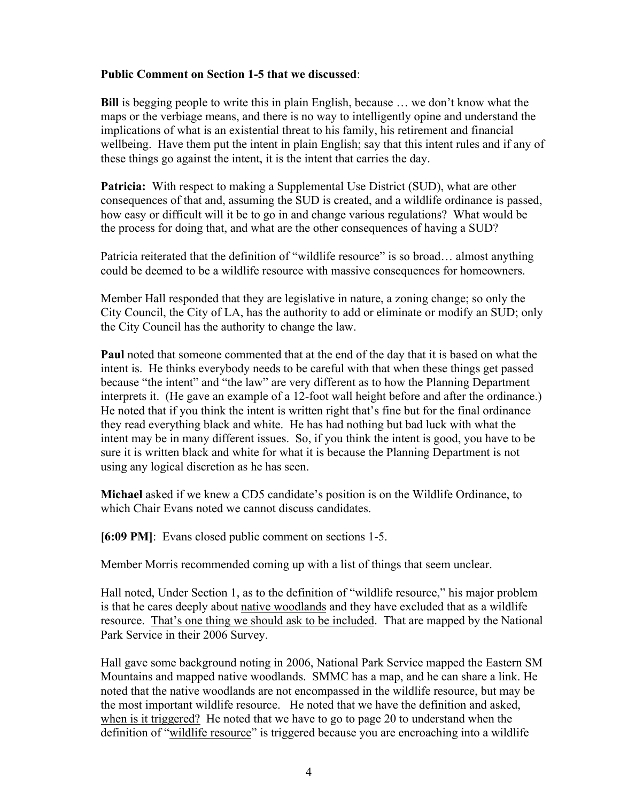#### **Public Comment on Section 1-5 that we discussed**:

**Bill** is begging people to write this in plain English, because … we don't know what the maps or the verbiage means, and there is no way to intelligently opine and understand the implications of what is an existential threat to his family, his retirement and financial wellbeing. Have them put the intent in plain English; say that this intent rules and if any of these things go against the intent, it is the intent that carries the day.

**Patricia:** With respect to making a Supplemental Use District (SUD), what are other consequences of that and, assuming the SUD is created, and a wildlife ordinance is passed, how easy or difficult will it be to go in and change various regulations? What would be the process for doing that, and what are the other consequences of having a SUD?

Patricia reiterated that the definition of "wildlife resource" is so broad... almost anything could be deemed to be a wildlife resource with massive consequences for homeowners.

Member Hall responded that they are legislative in nature, a zoning change; so only the City Council, the City of LA, has the authority to add or eliminate or modify an SUD; only the City Council has the authority to change the law.

**Paul** noted that someone commented that at the end of the day that it is based on what the intent is. He thinks everybody needs to be careful with that when these things get passed because "the intent" and "the law" are very different as to how the Planning Department interprets it. (He gave an example of a 12-foot wall height before and after the ordinance.) He noted that if you think the intent is written right that's fine but for the final ordinance they read everything black and white. He has had nothing but bad luck with what the intent may be in many different issues. So, if you think the intent is good, you have to be sure it is written black and white for what it is because the Planning Department is not using any logical discretion as he has seen.

**Michael** asked if we knew a CD5 candidate's position is on the Wildlife Ordinance, to which Chair Evans noted we cannot discuss candidates.

**[6:09 PM]**: Evans closed public comment on sections 1-5.

Member Morris recommended coming up with a list of things that seem unclear.

Hall noted, Under Section 1, as to the definition of "wildlife resource," his major problem is that he cares deeply about native woodlands and they have excluded that as a wildlife resource. That's one thing we should ask to be included. That are mapped by the National Park Service in their 2006 Survey.

Hall gave some background noting in 2006, National Park Service mapped the Eastern SM Mountains and mapped native woodlands. SMMC has a map, and he can share a link. He noted that the native woodlands are not encompassed in the wildlife resource, but may be the most important wildlife resource. He noted that we have the definition and asked, when is it triggered? He noted that we have to go to page 20 to understand when the definition of "wildlife resource" is triggered because you are encroaching into a wildlife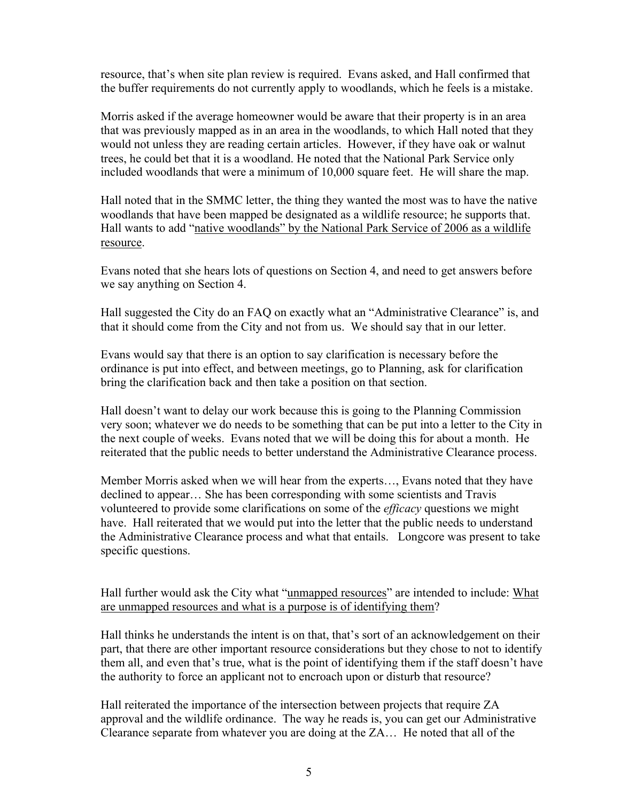resource, that's when site plan review is required. Evans asked, and Hall confirmed that the buffer requirements do not currently apply to woodlands, which he feels is a mistake.

Morris asked if the average homeowner would be aware that their property is in an area that was previously mapped as in an area in the woodlands, to which Hall noted that they would not unless they are reading certain articles. However, if they have oak or walnut trees, he could bet that it is a woodland. He noted that the National Park Service only included woodlands that were a minimum of 10,000 square feet. He will share the map.

Hall noted that in the SMMC letter, the thing they wanted the most was to have the native woodlands that have been mapped be designated as a wildlife resource; he supports that. Hall wants to add "native woodlands" by the National Park Service of 2006 as a wildlife resource.

Evans noted that she hears lots of questions on Section 4, and need to get answers before we say anything on Section 4.

Hall suggested the City do an FAQ on exactly what an "Administrative Clearance" is, and that it should come from the City and not from us. We should say that in our letter.

Evans would say that there is an option to say clarification is necessary before the ordinance is put into effect, and between meetings, go to Planning, ask for clarification bring the clarification back and then take a position on that section.

Hall doesn't want to delay our work because this is going to the Planning Commission very soon; whatever we do needs to be something that can be put into a letter to the City in the next couple of weeks. Evans noted that we will be doing this for about a month. He reiterated that the public needs to better understand the Administrative Clearance process.

Member Morris asked when we will hear from the experts…, Evans noted that they have declined to appear… She has been corresponding with some scientists and Travis volunteered to provide some clarifications on some of the *efficacy* questions we might have. Hall reiterated that we would put into the letter that the public needs to understand the Administrative Clearance process and what that entails. Longcore was present to take specific questions.

Hall further would ask the City what "unmapped resources" are intended to include: What are unmapped resources and what is a purpose is of identifying them?

Hall thinks he understands the intent is on that, that's sort of an acknowledgement on their part, that there are other important resource considerations but they chose to not to identify them all, and even that's true, what is the point of identifying them if the staff doesn't have the authority to force an applicant not to encroach upon or disturb that resource?

Hall reiterated the importance of the intersection between projects that require ZA approval and the wildlife ordinance. The way he reads is, you can get our Administrative Clearance separate from whatever you are doing at the ZA… He noted that all of the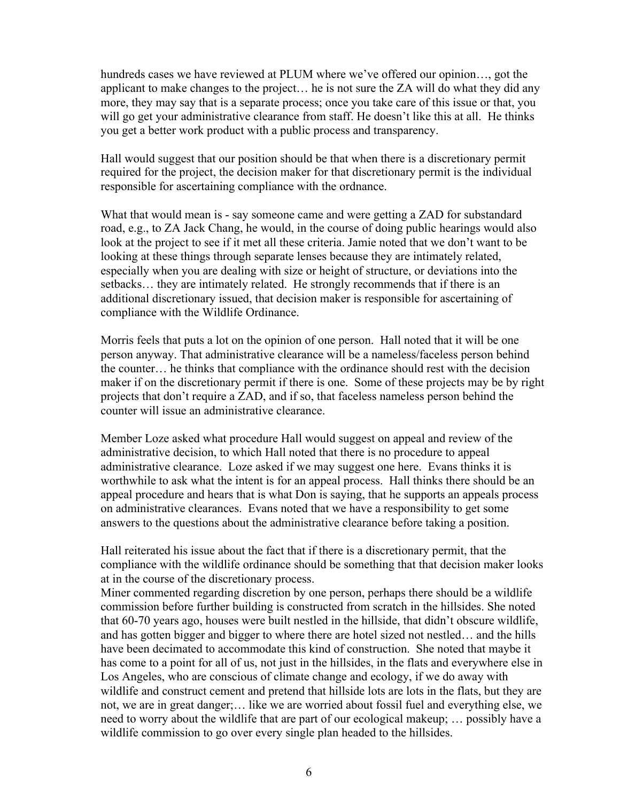hundreds cases we have reviewed at PLUM where we've offered our opinion..., got the applicant to make changes to the project… he is not sure the ZA will do what they did any more, they may say that is a separate process; once you take care of this issue or that, you will go get your administrative clearance from staff. He doesn't like this at all. He thinks you get a better work product with a public process and transparency.

Hall would suggest that our position should be that when there is a discretionary permit required for the project, the decision maker for that discretionary permit is the individual responsible for ascertaining compliance with the ordnance.

What that would mean is - say someone came and were getting a ZAD for substandard road, e.g., to ZA Jack Chang, he would, in the course of doing public hearings would also look at the project to see if it met all these criteria. Jamie noted that we don't want to be looking at these things through separate lenses because they are intimately related, especially when you are dealing with size or height of structure, or deviations into the setbacks… they are intimately related. He strongly recommends that if there is an additional discretionary issued, that decision maker is responsible for ascertaining of compliance with the Wildlife Ordinance.

Morris feels that puts a lot on the opinion of one person. Hall noted that it will be one person anyway. That administrative clearance will be a nameless/faceless person behind the counter… he thinks that compliance with the ordinance should rest with the decision maker if on the discretionary permit if there is one. Some of these projects may be by right projects that don't require a ZAD, and if so, that faceless nameless person behind the counter will issue an administrative clearance.

Member Loze asked what procedure Hall would suggest on appeal and review of the administrative decision, to which Hall noted that there is no procedure to appeal administrative clearance. Loze asked if we may suggest one here. Evans thinks it is worthwhile to ask what the intent is for an appeal process. Hall thinks there should be an appeal procedure and hears that is what Don is saying, that he supports an appeals process on administrative clearances. Evans noted that we have a responsibility to get some answers to the questions about the administrative clearance before taking a position.

Hall reiterated his issue about the fact that if there is a discretionary permit, that the compliance with the wildlife ordinance should be something that that decision maker looks at in the course of the discretionary process.

Miner commented regarding discretion by one person, perhaps there should be a wildlife commission before further building is constructed from scratch in the hillsides. She noted that 60-70 years ago, houses were built nestled in the hillside, that didn't obscure wildlife, and has gotten bigger and bigger to where there are hotel sized not nestled… and the hills have been decimated to accommodate this kind of construction. She noted that maybe it has come to a point for all of us, not just in the hillsides, in the flats and everywhere else in Los Angeles, who are conscious of climate change and ecology, if we do away with wildlife and construct cement and pretend that hillside lots are lots in the flats, but they are not, we are in great danger;… like we are worried about fossil fuel and everything else, we need to worry about the wildlife that are part of our ecological makeup; … possibly have a wildlife commission to go over every single plan headed to the hillsides.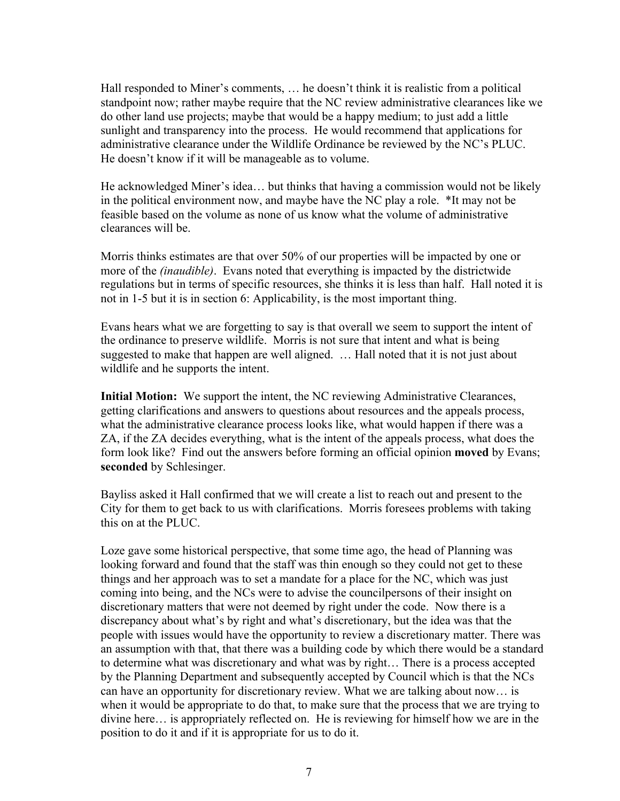Hall responded to Miner's comments, … he doesn't think it is realistic from a political standpoint now; rather maybe require that the NC review administrative clearances like we do other land use projects; maybe that would be a happy medium; to just add a little sunlight and transparency into the process. He would recommend that applications for administrative clearance under the Wildlife Ordinance be reviewed by the NC's PLUC. He doesn't know if it will be manageable as to volume.

He acknowledged Miner's idea… but thinks that having a commission would not be likely in the political environment now, and maybe have the NC play a role. \*It may not be feasible based on the volume as none of us know what the volume of administrative clearances will be.

Morris thinks estimates are that over 50% of our properties will be impacted by one or more of the *(inaudible)*. Evans noted that everything is impacted by the districtwide regulations but in terms of specific resources, she thinks it is less than half. Hall noted it is not in 1-5 but it is in section 6: Applicability, is the most important thing.

Evans hears what we are forgetting to say is that overall we seem to support the intent of the ordinance to preserve wildlife. Morris is not sure that intent and what is being suggested to make that happen are well aligned. … Hall noted that it is not just about wildlife and he supports the intent.

**Initial Motion:** We support the intent, the NC reviewing Administrative Clearances, getting clarifications and answers to questions about resources and the appeals process, what the administrative clearance process looks like, what would happen if there was a ZA, if the ZA decides everything, what is the intent of the appeals process, what does the form look like? Find out the answers before forming an official opinion **moved** by Evans; **seconded** by Schlesinger.

Bayliss asked it Hall confirmed that we will create a list to reach out and present to the City for them to get back to us with clarifications. Morris foresees problems with taking this on at the PLUC.

Loze gave some historical perspective, that some time ago, the head of Planning was looking forward and found that the staff was thin enough so they could not get to these things and her approach was to set a mandate for a place for the NC, which was just coming into being, and the NCs were to advise the councilpersons of their insight on discretionary matters that were not deemed by right under the code. Now there is a discrepancy about what's by right and what's discretionary, but the idea was that the people with issues would have the opportunity to review a discretionary matter. There was an assumption with that, that there was a building code by which there would be a standard to determine what was discretionary and what was by right… There is a process accepted by the Planning Department and subsequently accepted by Council which is that the NCs can have an opportunity for discretionary review. What we are talking about now… is when it would be appropriate to do that, to make sure that the process that we are trying to divine here… is appropriately reflected on. He is reviewing for himself how we are in the position to do it and if it is appropriate for us to do it.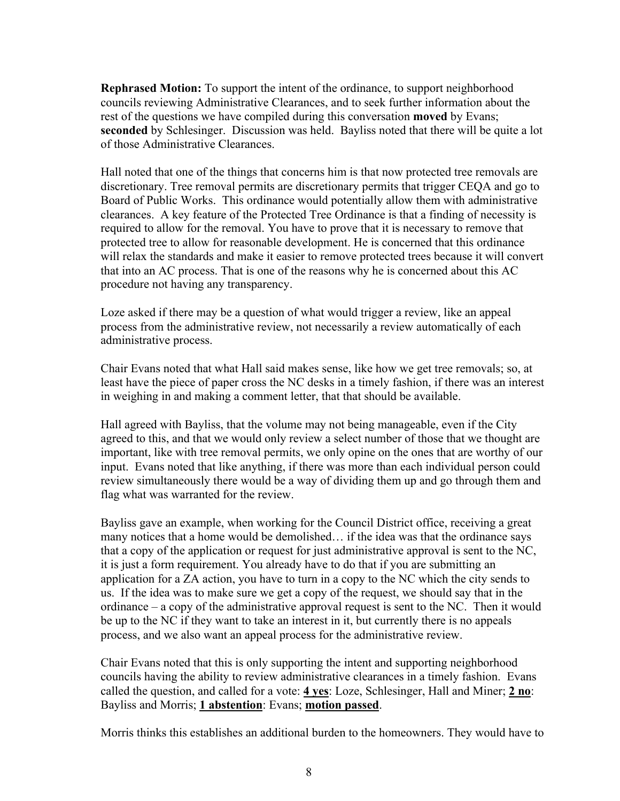**Rephrased Motion:** To support the intent of the ordinance, to support neighborhood councils reviewing Administrative Clearances, and to seek further information about the rest of the questions we have compiled during this conversation **moved** by Evans; **seconded** by Schlesinger. Discussion was held. Bayliss noted that there will be quite a lot of those Administrative Clearances.

Hall noted that one of the things that concerns him is that now protected tree removals are discretionary. Tree removal permits are discretionary permits that trigger CEQA and go to Board of Public Works. This ordinance would potentially allow them with administrative clearances. A key feature of the Protected Tree Ordinance is that a finding of necessity is required to allow for the removal. You have to prove that it is necessary to remove that protected tree to allow for reasonable development. He is concerned that this ordinance will relax the standards and make it easier to remove protected trees because it will convert that into an AC process. That is one of the reasons why he is concerned about this AC procedure not having any transparency.

Loze asked if there may be a question of what would trigger a review, like an appeal process from the administrative review, not necessarily a review automatically of each administrative process.

Chair Evans noted that what Hall said makes sense, like how we get tree removals; so, at least have the piece of paper cross the NC desks in a timely fashion, if there was an interest in weighing in and making a comment letter, that that should be available.

Hall agreed with Bayliss, that the volume may not being manageable, even if the City agreed to this, and that we would only review a select number of those that we thought are important, like with tree removal permits, we only opine on the ones that are worthy of our input. Evans noted that like anything, if there was more than each individual person could review simultaneously there would be a way of dividing them up and go through them and flag what was warranted for the review.

Bayliss gave an example, when working for the Council District office, receiving a great many notices that a home would be demolished… if the idea was that the ordinance says that a copy of the application or request for just administrative approval is sent to the NC, it is just a form requirement. You already have to do that if you are submitting an application for a ZA action, you have to turn in a copy to the NC which the city sends to us. If the idea was to make sure we get a copy of the request, we should say that in the ordinance – a copy of the administrative approval request is sent to the NC. Then it would be up to the NC if they want to take an interest in it, but currently there is no appeals process, and we also want an appeal process for the administrative review.

Chair Evans noted that this is only supporting the intent and supporting neighborhood councils having the ability to review administrative clearances in a timely fashion. Evans called the question, and called for a vote: **4 yes**: Loze, Schlesinger, Hall and Miner; **2 no**: Bayliss and Morris; **1 abstention**: Evans; **motion passed**.

Morris thinks this establishes an additional burden to the homeowners. They would have to